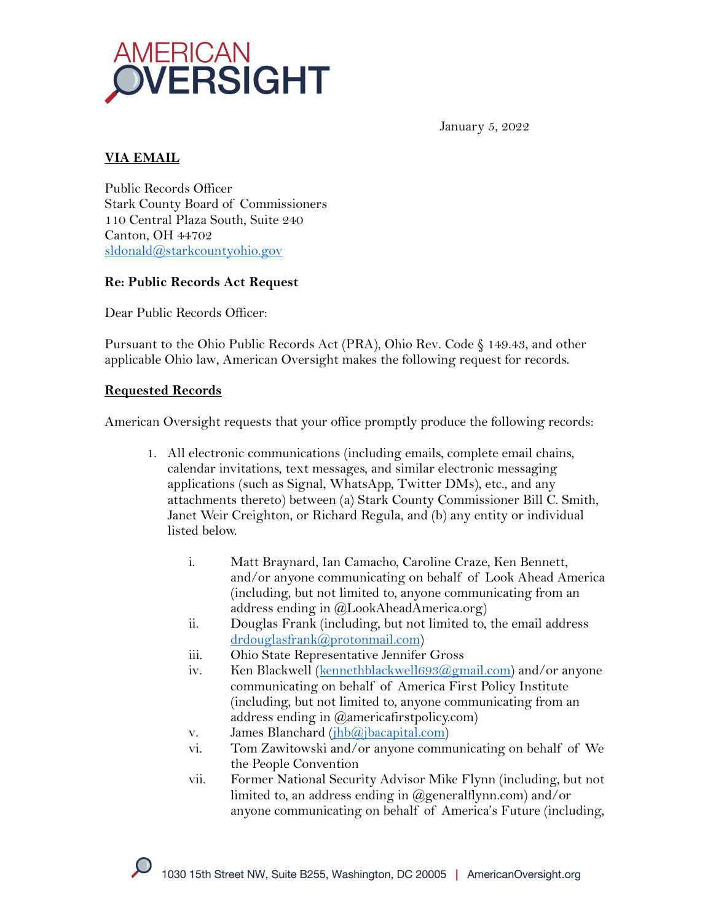

January 5, 2022

## **VIA EMAIL**

Public Records Officer Stark County Board of Commissioners 110 Central Plaza South, Suite 240 Canton, OH 44702 sldonald@starkcountyohio.gov

### **Re: Public Records Act Request**

Dear Public Records Officer:

Pursuant to the Ohio Public Records Act (PRA), Ohio Rev. Code § 149.43, and other applicable Ohio law, American Oversight makes the following request for records.

### **Requested Records**

American Oversight requests that your office promptly produce the following records:

- 1. All electronic communications (including emails, complete email chains, calendar invitations, text messages, and similar electronic messaging applications (such as Signal, WhatsApp, Twitter DMs), etc., and any attachments thereto) between (a) Stark County Commissioner Bill C. Smith, Janet Weir Creighton, or Richard Regula, and (b) any entity or individual listed below.
	- i. Matt Braynard, Ian Camacho, Caroline Craze, Ken Bennett, and/or anyone communicating on behalf of Look Ahead America (including, but not limited to, anyone communicating from an address ending in @LookAheadAmerica.org)
	- ii. Douglas Frank (including, but not limited to, the email address drdouglasfrank@protonmail.com)
	- iii. Ohio State Representative Jennifer Gross
	- iv. Ken Blackwell (kennethblackwell $693@gmail.com$ ) and/or anyone communicating on behalf of America First Policy Institute (including, but not limited to, anyone communicating from an address ending in @americafirstpolicy.com)
	- v. James Blanchard (jhb@jbacapital.com)
	- vi. Tom Zawitowski and/or anyone communicating on behalf of We the People Convention
	- vii. Former National Security Advisor Mike Flynn (including, but not limited to, an address ending in  $(\partial \rho)$  generalflynn.com) and/or anyone communicating on behalf of America's Future (including,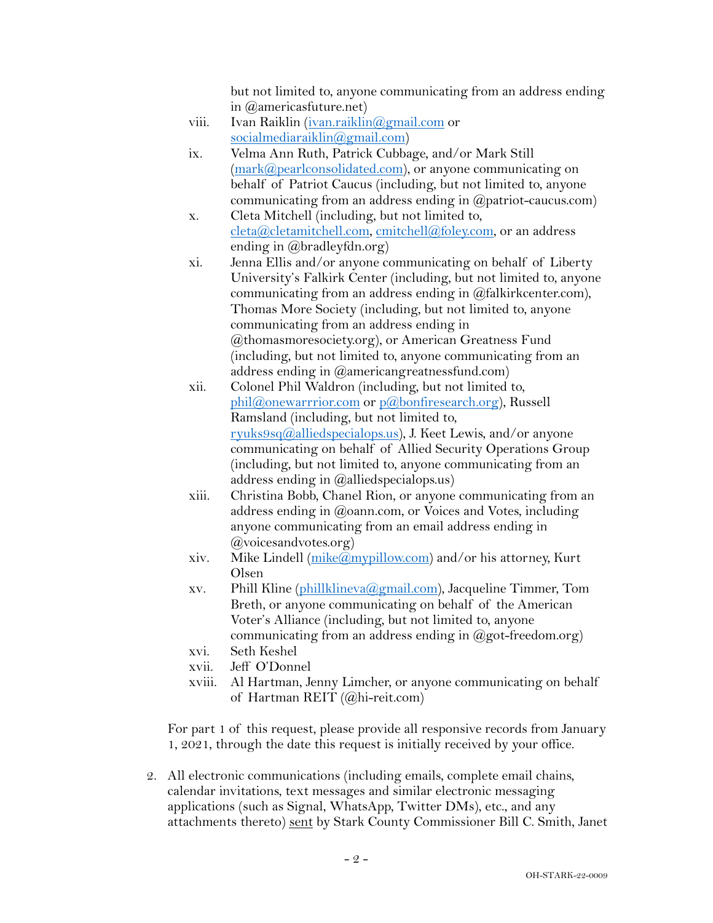but not limited to, anyone communicating from an address ending in @americasfuture.net)

- viii. Ivan Raiklin (ivan.raiklin@gmail.com or socialmediaraiklin@gmail.com)
- ix. Velma Ann Ruth, Patrick Cubbage, and/or Mark Still (mark@pearlconsolidated.com), or anyone communicating on behalf of Patriot Caucus (including, but not limited to, anyone communicating from an address ending in @patriot-caucus.com)
- x. Cleta Mitchell (including, but not limited to, cleta@cletamitchell.com, cmitchell@foley.com, or an address ending in @bradleyfdn.org)
- xi. Jenna Ellis and/or anyone communicating on behalf of Liberty University's Falkirk Center (including, but not limited to, anyone communicating from an address ending in @falkirkcenter.com), Thomas More Society (including, but not limited to, anyone communicating from an address ending in @thomasmoresociety.org), or American Greatness Fund (including, but not limited to, anyone communicating from an address ending in @americangreatnessfund.com)
- xii. Colonel Phil Waldron (including, but not limited to, phil@onewarrrior.com or p@bonfiresearch.org), Russell Ramsland (including, but not limited to, ryuks9sq@alliedspecialops.us), J. Keet Lewis, and/or anyone communicating on behalf of Allied Security Operations Group (including, but not limited to, anyone communicating from an address ending in @alliedspecialops.us)
- xiii. Christina Bobb, Chanel Rion, or anyone communicating from an address ending in @oann.com, or Voices and Votes, including anyone communicating from an email address ending in @voicesandvotes.org)
- xiv. Mike Lindell  $(mike@mypillow.com)$  and/or his attorney, Kurt Olsen
- xv. Phill Kline (phillklineva@gmail.com), Jacqueline Timmer, Tom Breth, or anyone communicating on behalf of the American Voter's Alliance (including, but not limited to, anyone communicating from an address ending in  $(\partial \text{got-freedom.org})$
- xvi. Seth Keshel
- xvii. Jeff O'Donnel
- xviii. Al Hartman, Jenny Limcher, or anyone communicating on behalf of Hartman REIT (@hi-reit.com)

For part 1 of this request, please provide all responsive records from January 1, 2021, through the date this request is initially received by your office.

2. All electronic communications (including emails, complete email chains, calendar invitations, text messages and similar electronic messaging applications (such as Signal, WhatsApp, Twitter DMs), etc., and any attachments thereto) sent by Stark County Commissioner Bill C. Smith, Janet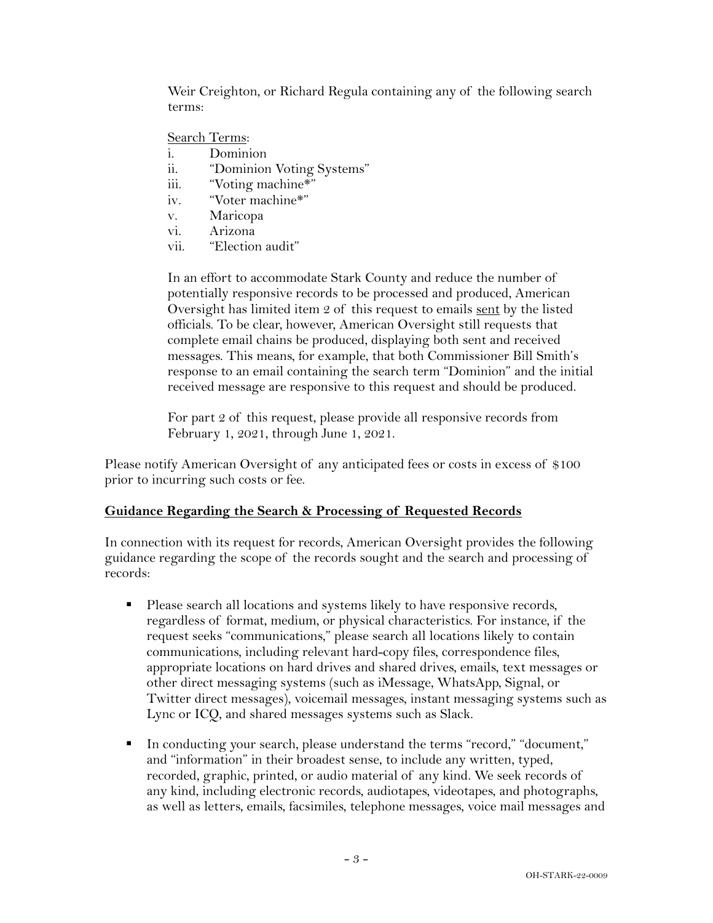Weir Creighton, or Richard Regula containing any of the following search terms:

#### Search Terms:

- i. Dominion
- ii. "Dominion Voting Systems"
- iii. "Voting machine\*"
- iv. "Voter machine\*"
- v. Maricopa
- vi. Arizona
- vii. "Election audit"

In an effort to accommodate Stark County and reduce the number of potentially responsive records to be processed and produced, American Oversight has limited item 2 of this request to emails sent by the listed officials. To be clear, however, American Oversight still requests that complete email chains be produced, displaying both sent and received messages. This means, for example, that both Commissioner Bill Smith's response to an email containing the search term "Dominion" and the initial received message are responsive to this request and should be produced.

For part 2 of this request, please provide all responsive records from February 1, 2021, through June 1, 2021.

Please notify American Oversight of any anticipated fees or costs in excess of \$100 prior to incurring such costs or fee.

## **Guidance Regarding the Search & Processing of Requested Records**

In connection with its request for records, American Oversight provides the following guidance regarding the scope of the records sought and the search and processing of records:

- Please search all locations and systems likely to have responsive records, regardless of format, medium, or physical characteristics. For instance, if the request seeks "communications," please search all locations likely to contain communications, including relevant hard-copy files, correspondence files, appropriate locations on hard drives and shared drives, emails, text messages or other direct messaging systems (such as iMessage, WhatsApp, Signal, or Twitter direct messages), voicemail messages, instant messaging systems such as Lync or ICQ, and shared messages systems such as Slack.
- § In conducting your search, please understand the terms "record," "document," and "information" in their broadest sense, to include any written, typed, recorded, graphic, printed, or audio material of any kind. We seek records of any kind, including electronic records, audiotapes, videotapes, and photographs, as well as letters, emails, facsimiles, telephone messages, voice mail messages and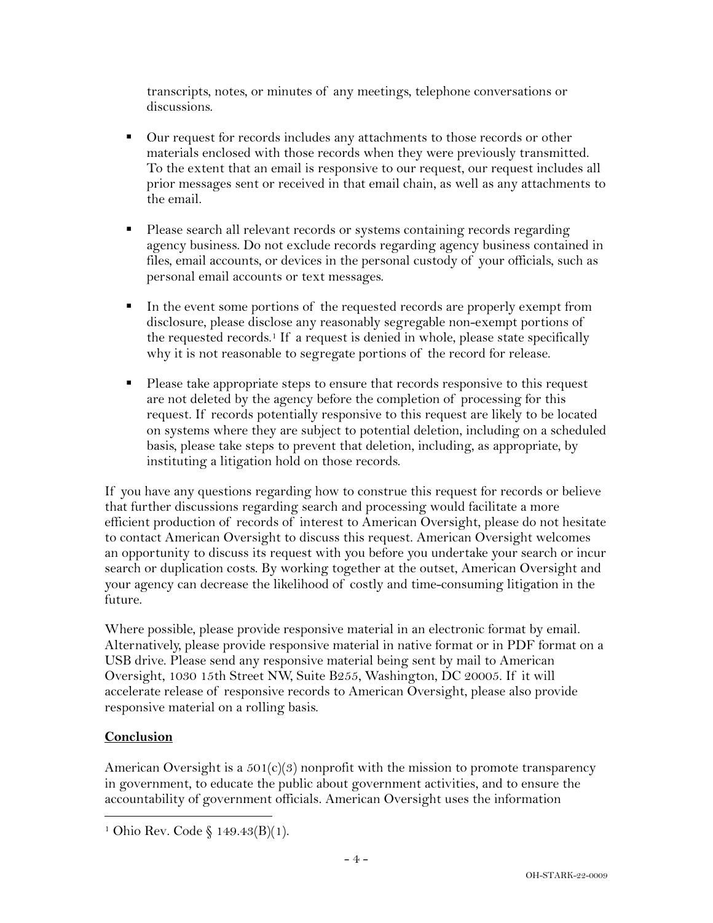transcripts, notes, or minutes of any meetings, telephone conversations or discussions.

- Our request for records includes any attachments to those records or other materials enclosed with those records when they were previously transmitted. To the extent that an email is responsive to our request, our request includes all prior messages sent or received in that email chain, as well as any attachments to the email.
- § Please search all relevant records or systems containing records regarding agency business. Do not exclude records regarding agency business contained in files, email accounts, or devices in the personal custody of your officials, such as personal email accounts or text messages.
- In the event some portions of the requested records are properly exempt from disclosure, please disclose any reasonably segregable non-exempt portions of the requested records.<sup>1</sup> If a request is denied in whole, please state specifically why it is not reasonable to segregate portions of the record for release.
- Please take appropriate steps to ensure that records responsive to this request are not deleted by the agency before the completion of processing for this request. If records potentially responsive to this request are likely to be located on systems where they are subject to potential deletion, including on a scheduled basis, please take steps to prevent that deletion, including, as appropriate, by instituting a litigation hold on those records.

If you have any questions regarding how to construe this request for records or believe that further discussions regarding search and processing would facilitate a more efficient production of records of interest to American Oversight, please do not hesitate to contact American Oversight to discuss this request. American Oversight welcomes an opportunity to discuss its request with you before you undertake your search or incur search or duplication costs. By working together at the outset, American Oversight and your agency can decrease the likelihood of costly and time-consuming litigation in the future.

Where possible, please provide responsive material in an electronic format by email. Alternatively, please provide responsive material in native format or in PDF format on a USB drive. Please send any responsive material being sent by mail to American Oversight, 1030 15th Street NW, Suite B255, Washington, DC 20005. If it will accelerate release of responsive records to American Oversight, please also provide responsive material on a rolling basis.

# **Conclusion**

American Oversight is a  $501(c)(3)$  nonprofit with the mission to promote transparency in government, to educate the public about government activities, and to ensure the accountability of government officials. American Oversight uses the information

<sup>1</sup> Ohio Rev. Code § 149.43(B)(1).